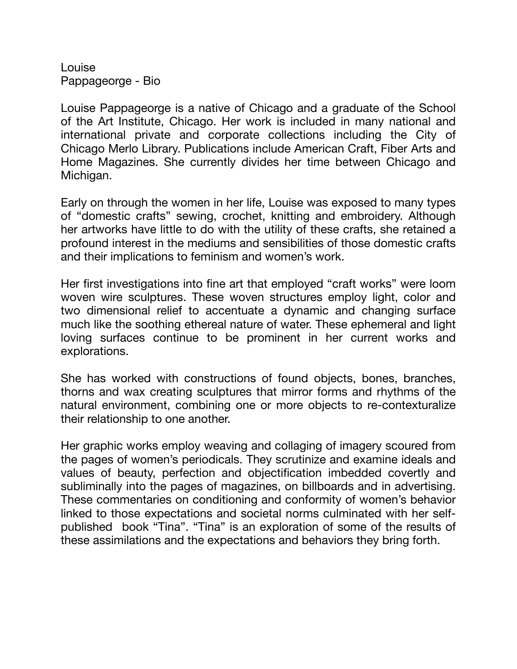Louise Pappageorge - Bio 

Louise Pappageorge is a native of Chicago and a graduate of the School of the Art Institute, Chicago. Her work is included in many national and international private and corporate collections including the City of Chicago Merlo Library. Publications include American Craft, Fiber Arts and Home Magazines. She currently divides her time between Chicago and Michigan.

Early on through the women in her life, Louise was exposed to many types of "domestic crafts" sewing, crochet, knitting and embroidery. Although her artworks have little to do with the utility of these crafts, she retained a profound interest in the mediums and sensibilities of those domestic crafts and their implications to feminism and women's work.

Her first investigations into fine art that employed "craft works" were loom woven wire sculptures. These woven structures employ light, color and two dimensional relief to accentuate a dynamic and changing surface much like the soothing ethereal nature of water. These ephemeral and light loving surfaces continue to be prominent in her current works and explorations.

She has worked with constructions of found objects, bones, branches, thorns and wax creating sculptures that mirror forms and rhythms of the natural environment, combining one or more objects to re-contexturalize their relationship to one another.

Her graphic works employ weaving and collaging of imagery scoured from the pages of women's periodicals. They scrutinize and examine ideals and values of beauty, perfection and objectification imbedded covertly and subliminally into the pages of magazines, on billboards and in advertising. These commentaries on conditioning and conformity of women's behavior linked to those expectations and societal norms culminated with her selfpublished book "Tina". "Tina" is an exploration of some of the results of these assimilations and the expectations and behaviors they bring forth.